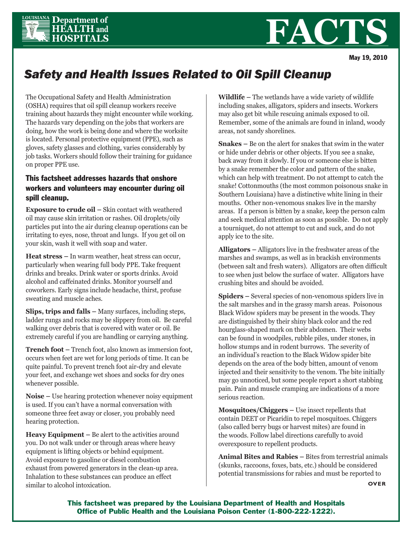

## **FACT**

May 19, 2010

## *Safety and Health Issues Related to Oil Spill Cleanup*

The Occupational Safety and Health Administration (OSHA) requires that oil spill cleanup workers receive training about hazards they might encounter while working. The hazards vary depending on the jobs that workers are doing, how the work is being done and where the worksite is located. Personal protective equipment (PPE), such as gloves, safety glasses and clothing, varies considerably by job tasks. Workers should follow their training for guidance on proper PPE use.

## This factsheet addresses hazards that onshore workers and volunteers may encounter during oil spill cleanup.

**Exposure to crude oil –** Skin contact with weathered oil may cause skin irritation or rashes. Oil droplets/oily particles put into the air during cleanup operations can be irritating to eyes, nose, throat and lungs. If you get oil on your skin, wash it well with soap and water.

**Heat stress –** In warm weather, heat stress can occur, particularly when wearing full body PPE. Take frequent drinks and breaks. Drink water or sports drinks. Avoid alcohol and caffeinated drinks. Monitor yourself and coworkers. Early signs include headache, thirst, profuse sweating and muscle aches.

**Slips, trips and falls –** Many surfaces, including steps, ladder rungs and rocks may be slippery from oil. Be careful walking over debris that is covered with water or oil. Be extremely careful if you are handling or carrying anything.

**Trench foot –** Trench foot, also known as immersion foot, occurs when feet are wet for long periods of time. It can be quite painful. To prevent trench foot air-dry and elevate your feet, and exchange wet shoes and socks for dry ones whenever possible.

**Noise –** Use hearing protection whenever noisy equipment is used. If you can't have a normal conversation with someone three feet away or closer, you probably need hearing protection.

**Heavy Equipment –** Be alert to the activities around you. Do not walk under or through areas where heavy equipment is lifting objects or behind equipment. Avoid exposure to gasoline or diesel combustion exhaust from powered generators in the clean-up area. Inhalation to these substances can produce an effect similar to alcohol intoxication.

**Wildlife –** The wetlands have a wide variety of wildlife including snakes, alligators, spiders and insects. Workers may also get bit while rescuing animals exposed to oil. Remember, some of the animals are found in inland, woody areas, not sandy shorelines.

**Snakes –** Be on the alert for snakes that swim in the water or hide under debris or other objects. If you see a snake, back away from it slowly. If you or someone else is bitten by a snake remember the color and pattern of the snake, which can help with treatment. Do not attempt to catch the snake! Cottonmouths (the most common poisonous snake in Southern Louisiana) have a distinctive white lining in their mouths. Other non-venomous snakes live in the marshy areas. If a person is bitten by a snake, keep the person calm and seek medical attention as soon as possible. Do not apply a tourniquet, do not attempt to cut and suck, and do not apply ice to the site.

**Alligators –** Alligators live in the freshwater areas of the marshes and swamps, as well as in brackish environments (between salt and fresh waters). Alligators are often difficult to see when just below the surface of water. Alligators have crushing bites and should be avoided.

**Spiders –** Several species of non-venomous spiders live in the salt marshes and in the grassy marsh areas. Poisonous Black Widow spiders may be present in the woods. They are distinguished by their shiny black color and the red hourglass-shaped mark on their abdomen. Their webs can be found in woodpiles, rubble piles, under stones, in hollow stumps and in rodent burrows. The severity of an individual's reaction to the Black Widow spider bite depends on the area of the body bitten, amount of venom injected and their sensitivity to the venom. The bite initially may go unnoticed, but some people report a short stabbing pain. Pain and muscle cramping are indications of a more serious reaction.

**Mosquitoes/Chiggers –** Use insect repellents that contain DEET or Picaridin to repel mosquitoes. Chiggers (also called berry bugs or harvest mites) are found in the woods. Follow label directions carefully to avoid overexposure to repellent products.

**Animal Bites and Rabies –** Bites from terrestrial animals (skunks, raccoons, foxes, bats, etc.) should be considered potential transmissions for rabies and must be reported to

**OVER**

This factsheet was prepared by the Louisiana Department of Health and Hospitals Office of Public Health and the Louisiana Poison Center (1-800-222-1222).